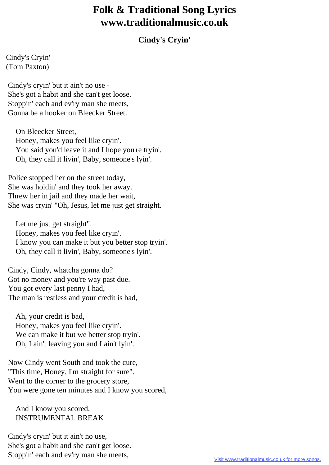## **Folk & Traditional Song Lyrics www.traditionalmusic.co.uk**

## **Cindy's Cryin'**

Cindy's Cryin' (Tom Paxton)

 Cindy's cryin' but it ain't no use - She's got a habit and she can't get loose. Stoppin' each and ev'ry man she meets, Gonna be a hooker on Bleecker Street.

 On Bleecker Street, Honey, makes you feel like cryin'. You said you'd leave it and I hope you're tryin'. Oh, they call it livin', Baby, someone's lyin'.

 Police stopped her on the street today, She was holdin' and they took her away. Threw her in jail and they made her wait, She was cryin' "Oh, Jesus, let me just get straight.

 Let me just get straight". Honey, makes you feel like cryin'. I know you can make it but you better stop tryin'. Oh, they call it livin', Baby, someone's lyin'.

 Cindy, Cindy, whatcha gonna do? Got no money and you're way past due. You got every last penny I had, The man is restless and your credit is bad,

 Ah, your credit is bad, Honey, makes you feel like cryin'. We can make it but we better stop tryin'. Oh, I ain't leaving you and I ain't lyin'.

 Now Cindy went South and took the cure, "This time, Honey, I'm straight for sure". Went to the corner to the grocery store, You were gone ten minutes and I know you scored,

 And I know you scored, INSTRUMENTAL BREAK

 Cindy's cryin' but it ain't no use, She's got a habit and she can't get loose. Stoppin' each and ev'ry man she meets,